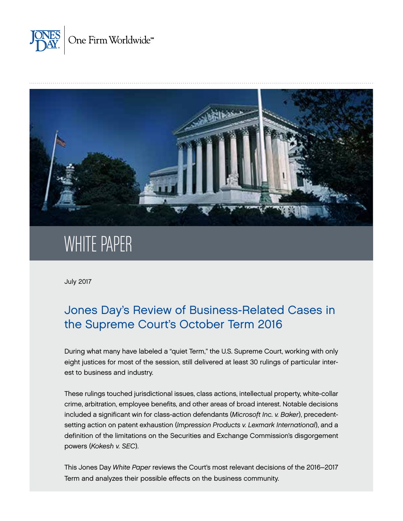



# WHITE PAPER

July 2017

# Jones Day's Review of Business-Related Cases in the Supreme Court's October Term 2016

During what many have labeled a "quiet Term," the U.S. Supreme Court, working with only eight justices for most of the session, still delivered at least 30 rulings of particular interest to business and industry.

These rulings touched jurisdictional issues, class actions, intellectual property, white-collar crime, arbitration, employee benefits, and other areas of broad interest. Notable decisions included a significant win for class-action defendants (*Microsoft Inc. v. Baker*), precedentsetting action on patent exhaustion (*Impression Products v. Lexmark International*), and a definition of the limitations on the Securities and Exchange Commission's disgorgement powers (*Kokesh v. SEC*).

This Jones Day *White Paper* reviews the Court's most relevant decisions of the 2016–2017 Term and analyzes their possible effects on the business community.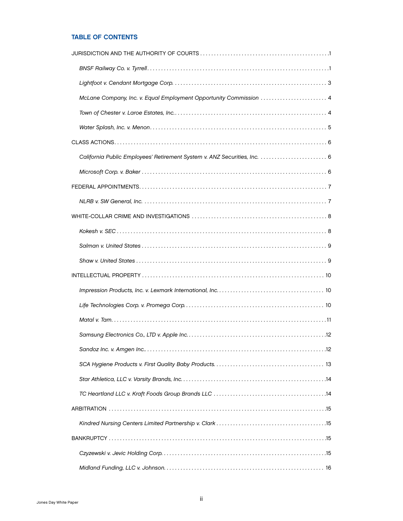# TABLE OF CONTENTS

| McLane Company, Inc. v. Equal Employment Opportunity Commission  4        |  |
|---------------------------------------------------------------------------|--|
|                                                                           |  |
|                                                                           |  |
|                                                                           |  |
| California Public Employees' Retirement System v. ANZ Securities, Inc.  6 |  |
|                                                                           |  |
|                                                                           |  |
|                                                                           |  |
|                                                                           |  |
|                                                                           |  |
|                                                                           |  |
|                                                                           |  |
|                                                                           |  |
|                                                                           |  |
|                                                                           |  |
|                                                                           |  |
|                                                                           |  |
|                                                                           |  |
|                                                                           |  |
|                                                                           |  |
|                                                                           |  |
|                                                                           |  |
|                                                                           |  |
|                                                                           |  |
|                                                                           |  |
|                                                                           |  |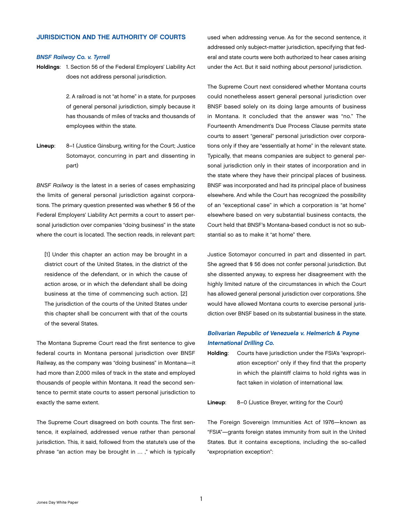# <span id="page-3-0"></span>JURISDICTION AND THE AUTHORITY OF COURTS

#### *BNSF Railway Co. v. Tyrrell*

Holdings: 1. Section 56 of the Federal Employers' Liability Act does not address personal jurisdiction.

> 2. A railroad is not "at home" in a state, for purposes of general personal jurisdiction, simply because it has thousands of miles of tracks and thousands of employees within the state.

Lineup: 8–1 (Justice Ginsburg, writing for the Court; Justice Sotomayor, concurring in part and dissenting in part)

*BNSF Railway* is the latest in a series of cases emphasizing the limits of general personal jurisdiction against corporations. The primary question presented was whether § 56 of the Federal Employers' Liability Act permits a court to assert personal jurisdiction over companies "doing business" in the state where the court is located. The section reads, in relevant part:

[1] Under this chapter an action may be brought in a district court of the United States, in the district of the residence of the defendant, or in which the cause of action arose, or in which the defendant shall be doing business at the time of commencing such action. [2] The jurisdiction of the courts of the United States under this chapter shall be concurrent with that of the courts of the several States.

The Montana Supreme Court read the first sentence to give federal courts in Montana personal jurisdiction over BNSF Railway, as the company was "doing business" in Montana—it had more than 2,000 miles of track in the state and employed thousands of people within Montana. It read the second sentence to permit state courts to assert personal jurisdiction to exactly the same extent.

The Supreme Court disagreed on both counts. The first sentence, it explained, addressed venue rather than personal jurisdiction. This, it said, followed from the statute's use of the phrase "an action may be brought in … ," which is typically

used when addressing venue. As for the second sentence, it addressed only subject-matter jurisdiction, specifying that federal and state courts were both authorized to hear cases arising under the Act. But it said nothing about *personal* jurisdiction.

The Supreme Court next considered whether Montana courts could nonetheless assert general personal jurisdiction over BNSF based solely on its doing large amounts of business in Montana. It concluded that the answer was "no." The Fourteenth Amendment's Due Process Clause permits state courts to assert "general" personal jurisdiction over corporations only if they are "essentially at home" in the relevant state. Typically, that means companies are subject to general personal jurisdiction only in their states of incorporation and in the state where they have their principal places of business. BNSF was incorporated and had its principal place of business elsewhere. And while the Court has recognized the possibility of an "exceptional case" in which a corporation is "at home" elsewhere based on very substantial business contacts, the Court held that BNSF's Montana-based conduct is not so substantial so as to make it "at home" there.

Justice Sotomayor concurred in part and dissented in part. She agreed that § 56 does not confer personal jurisdiction. But she dissented anyway, to express her disagreement with the highly limited nature of the circumstances in which the Court has allowed general personal jurisdiction over corporations. She would have allowed Montana courts to exercise personal jurisdiction over BNSF based on its substantial business in the state.

# Bolivarian Republic of Venezuela v. Helmerich & Payne International Drilling Co.

Holding: Courts have jurisdiction under the FSIA's "expropriation exception" only if they find that the property in which the plaintiff claims to hold rights was in fact taken in violation of international law.

Lineup: 8–0 (Justice Breyer, writing for the Court)

The Foreign Sovereign Immunities Act of 1976—known as "FSIA"—grants foreign states immunity from suit in the United States. But it contains exceptions, including the so-called "expropriation exception":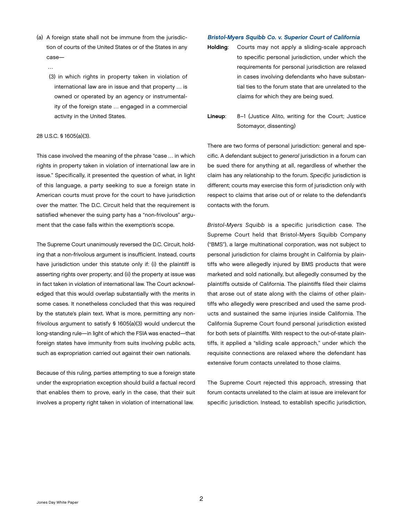- (a) A foreign state shall not be immune from the jurisdiction of courts of the United States or of the States in any case—
	- …
	- (3) in which rights in property taken in violation of international law are in issue and that property … is owned or operated by an agency or instrumentality of the foreign state … engaged in a commercial activity in the United States.

#### 28 U.S.C. § 1605(a)(3).

This case involved the meaning of the phrase "case … in which rights in property taken in violation of international law are in issue." Specifically, it presented the question of what, in light of this language, a party seeking to sue a foreign state in American courts must prove for the court to have jurisdiction over the matter. The D.C. Circuit held that the requirement is satisfied whenever the suing party has a "non-frivolous" argument that the case falls within the exemption's scope.

The Supreme Court unanimously reversed the D.C. Circuit, holding that a non-frivolous argument is insufficient. Instead, courts have jurisdiction under this statute only if: (i) the plaintiff is asserting rights over property; and (ii) the property at issue was in fact taken in violation of international law. The Court acknowledged that this would overlap substantially with the merits in some cases. It nonetheless concluded that this was required by the statute's plain text. What is more, permitting any nonfrivolous argument to satisfy § 1605(a)(3) would undercut the long-standing rule—in light of which the FSIA was enacted—that foreign states have immunity from suits involving public acts, such as expropriation carried out against their own nationals.

Because of this ruling, parties attempting to sue a foreign state under the expropriation exception should build a factual record that enables them to prove, early in the case, that their suit involves a property right taken in violation of international law.

#### Bristol-Myers Squibb Co. v. Superior Court of California

- Holding: Courts may not apply a sliding-scale approach to specific personal jurisdiction, under which the requirements for personal jurisdiction are relaxed in cases involving defendants who have substantial ties to the forum state that are unrelated to the claims for which they are being sued.
- Lineup: 8–1 (Justice Alito, writing for the Court; Justice Sotomayor, dissenting)

There are two forms of personal jurisdiction: general and specific. A defendant subject to *general* jurisdiction in a forum can be sued there for anything at all, regardless of whether the claim has any relationship to the forum. *Specific* jurisdiction is different; courts may exercise this form of jurisdiction only with respect to claims that arise out of or relate to the defendant's contacts with the forum.

*Bristol-Myers Squibb* is a specific jurisdiction case. The Supreme Court held that Bristol-Myers Squibb Company ("BMS"), a large multinational corporation, was not subject to personal jurisdiction for claims brought in California by plaintiffs who were allegedly injured by BMS products that were marketed and sold nationally, but allegedly consumed by the plaintiffs outside of California. The plaintiffs filed their claims that arose out of state along with the claims of other plaintiffs who allegedly were prescribed and used the same products and sustained the same injuries inside California. The California Supreme Court found personal jurisdiction existed for both sets of plaintiffs. With respect to the out-of-state plaintiffs, it applied a "sliding scale approach," under which the requisite connections are relaxed where the defendant has extensive forum contacts unrelated to those claims.

The Supreme Court rejected this approach, stressing that forum contacts unrelated to the claim at issue are irrelevant for specific jurisdiction. Instead, to establish specific jurisdiction,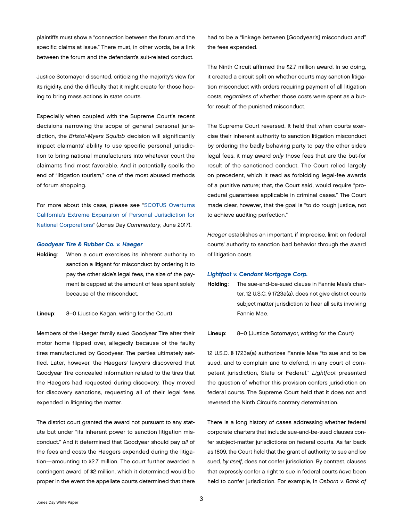<span id="page-5-0"></span>plaintiffs must show a "connection between the forum and the specific claims at issue." There must, in other words, be a link between the forum and the defendant's suit-related conduct.

Justice Sotomayor dissented, criticizing the majority's view for its rigidity, and the difficulty that it might create for those hoping to bring mass actions in state courts.

Especially when coupled with the Supreme Court's recent decisions narrowing the scope of general personal jurisdiction, the *Bristol-Myers Squibb* decision will significantly impact claimants' ability to use specific personal jurisdiction to bring national manufacturers into whatever court the claimants find most favorable. And it potentially spells the end of "litigation tourism," one of the most abused methods of forum shopping.

For more about this case, please see ["SCOTUS Overturns](http://www.jonesday.com/scotus-overturns-californias-extreme-expansion-of-personal-jurisdiction-for-national-corporations-06-21-2017/) [California's Extreme Expansion of Personal Jurisdiction for](http://www.jonesday.com/scotus-overturns-californias-extreme-expansion-of-personal-jurisdiction-for-national-corporations-06-21-2017/)  [National Corporations](http://www.jonesday.com/scotus-overturns-californias-extreme-expansion-of-personal-jurisdiction-for-national-corporations-06-21-2017/)" (Jones Day *Commentary*, June 2017).

#### Goodyear Tire & Rubber Co. v. Haeger

Holding: When a court exercises its inherent authority to sanction a litigant for misconduct by ordering it to pay the other side's legal fees, the size of the payment is capped at the amount of fees spent solely because of the misconduct.

#### Lineup: 8–0 (Justice Kagan, writing for the Court)

Members of the Haeger family sued Goodyear Tire after their motor home flipped over, allegedly because of the faulty tires manufactured by Goodyear. The parties ultimately settled. Later, however, the Haegers' lawyers discovered that Goodyear Tire concealed information related to the tires that the Haegers had requested during discovery. They moved for discovery sanctions, requesting all of their legal fees expended in litigating the matter.

The district court granted the award not pursuant to any statute but under "its inherent power to sanction litigation misconduct." And it determined that Goodyear should pay *all* of the fees and costs the Haegers expended during the litigation—amounting to \$2.7 million. The court further awarded a contingent award of \$2 million, which it determined would be proper in the event the appellate courts determined that there had to be a "linkage between [Goodyear's] misconduct and" the fees expended.

The Ninth Circuit affirmed the \$2.7 million award. In so doing, it created a circuit split on whether courts may sanction litigation misconduct with orders requiring payment of all litigation costs, *regardless* of whether those costs were spent as a butfor result of the punished misconduct.

The Supreme Court reversed. It held that when courts exercise their inherent authority to sanction litigation misconduct by ordering the badly behaving party to pay the other side's legal fees, it may award *only* those fees that are the but-for result of the sanctioned conduct. The Court relied largely on precedent, which it read as forbidding legal-fee awards of a punitive nature; that, the Court said, would require "procedural guarantees applicable in criminal cases." The Court made clear, however, that the goal is "to do rough justice, not to achieve auditing perfection."

*Haeger* establishes an important, if imprecise, limit on federal courts' authority to sanction bad behavior through the award of litigation costs.

#### *Lightfoot v. Cendant Mortgage Corp.*

Holding: The sue-and-be-sued clause in Fannie Mae's charter, 12 U.S.C. § 1723a(a), does not give district courts subject matter jurisdiction to hear all suits involving Fannie Mae.

#### Lineup: 8–0 (Justice Sotomayor, writing for the Court)

12 U.S.C. § 1723a(a) authorizes Fannie Mae "to sue and to be sued, and to complain and to defend, in any court of competent jurisdiction, State or Federal." *Lightfoot* presented the question of whether this provision confers jurisdiction on federal courts. The Supreme Court held that it does not and reversed the Ninth Circuit's contrary determination.

There is a long history of cases addressing whether federal corporate charters that include sue-and-be-sued clauses confer subject-matter jurisdictions on federal courts. As far back as 1809, the Court held that the grant of authority to sue and be sued, *by itself*, does not confer jurisdiction. By contrast, clauses that expressly confer a right to sue in federal courts *have* been held to confer jurisdiction. For example, in *Osborn v. Bank of*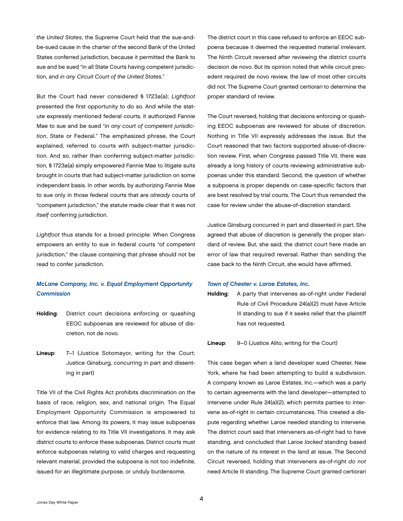<span id="page-6-0"></span>*the United States*, the Supreme Court held that the sue-andbe-sued cause in the charter of the second Bank of the United States conferred jurisdiction, because it permitted the Bank to sue and be sued "in all State Courts having competent jurisdiction, and *in any Circuit Court of the United States*."

But the Court had never considered § 1723a(a); *Lightfoot*  presented the first opportunity to do so. And while the statute expressly mentioned federal courts, it authorized Fannie Mae to sue and be sued "*in any court of competent jurisdiction*, State or Federal." The emphasized phrase, the Court explained, referred to courts with subject-matter jurisdiction. And so, rather than conferring subject-matter jurisdiction, § 1723a(a) simply empowered Fannie Mae to litigate suits brought in courts that had subject-matter jurisdiction on some independent basis. In other words, by authorizing Fannie Mae to sue only in those federal courts that are *already* courts of "competent jurisdiction," the statute made clear that it was not *itself* conferring jurisdiction.

*Lightfoot* thus stands for a broad principle: When Congress empowers an entity to sue in federal courts "of competent jurisdiction," the clause containing that phrase should not be read to confer jurisdiction.

# *McLane Company, Inc. v. Equal Employment Opportunity Commission*

- Holding: District court decisions enforcing or quashing EEOC subpoenas are reviewed for abuse of discretion, not de novo.
- Lineup: 7–1 (Justice Sotomayor, writing for the Court; Justice Ginsburg, concurring in part and dissenting in part)

Title VII of the Civil Rights Act prohibits discrimination on the basis of race, religion, sex, and national origin. The Equal Employment Opportunity Commission is empowered to enforce that law. Among its powers, it may issue subpoenas for evidence relating to its Title VII investigations. It may ask district courts to enforce these subpoenas. District courts must enforce subpoenas relating to valid charges and requesting relevant material, provided the subpoena is not too indefinite, issued for an illegitimate purpose, or unduly burdensome.

The district court in this case refused to enforce an EEOC subpoena because it deemed the requested material irrelevant. The Ninth Circuit reversed after reviewing the district court's decision de novo. But its opinion noted that while circuit precedent required de novo review, the law of most other circuits did not. The Supreme Court granted certiorari to determine the proper standard of review.

The Court reversed, holding that decisions enforcing or quashing EEOC subpoenas are reviewed for abuse of discretion. Nothing in Title VII expressly addresses the issue. But the Court reasoned that two factors supported abuse-of-discretion review. First, when Congress passed Title VII, there was already a long history of courts reviewing administrative subpoenas under this standard. Second, the question of whether a subpoena is proper depends on case-specific factors that are best resolved by trial courts. The Court thus remanded the case for review under the abuse-of-discretion standard.

Justice Ginsburg concurred in part and dissented in part. She agreed that abuse of discretion is generally the proper standard of review. But, she said, the district court here made an error of law that required reversal. Rather than sending the case back to the Ninth Circuit, she would have affirmed.

#### *Town of Chester v. Laroe Estates, Inc.*

Holding: A party that intervenes as-of-right under Federal Rule of Civil Procedure 24(a)(2) must have Article III standing to sue if it seeks relief that the plaintiff has not requested.

#### Lineup: 9–0 (Justice Alito, writing for the Court)

This case began when a land developer sued Chester, New York, where he had been attempting to build a subdivision. A company known as Laroe Estates, Inc.—which was a party to certain agreements with the land developer—attempted to intervene under Rule 24(a)(2), which permits parties to intervene as-of-right in certain circumstances. This created a dispute regarding whether Laroe needed standing to intervene. The district court said that interveners as-of-right had to have standing, and concluded that Laroe *lacked* standing based on the nature of its interest in the land at issue. The Second Circuit reversed, holding that interveners as-of-right *do not*  need Article III standing. The Supreme Court granted certiorari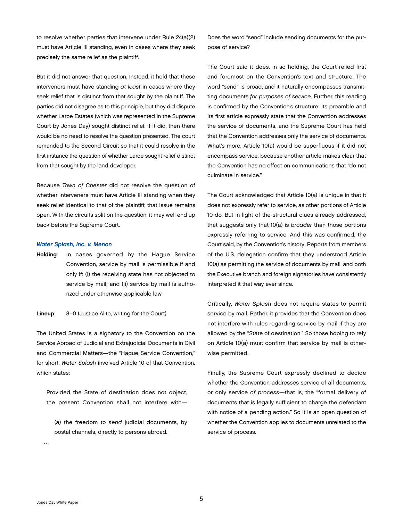<span id="page-7-0"></span>to resolve whether parties that intervene under Rule 24(a)(2) must have Article III standing, even in cases where they seek precisely the same relief as the plaintiff.

But it did not answer that question. Instead, it held that these interveners must have standing *at least* in cases where they seek relief that is distinct from that sought by the plaintiff. The parties did not disagree as to this principle, but they did dispute whether Laroe Estates (which was represented in the Supreme Court by Jones Day) sought distinct relief. If it did, then there would be no need to resolve the question presented. The court remanded to the Second Circuit so that it could resolve in the first instance the question of whether Laroe sought relief distinct from that sought by the land developer.

Because *Town of Chester* did not resolve the question of whether interveners must have Article III standing when they seek relief identical to that of the plaintiff, that issue remains open. With the circuits split on the question, it may well end up back before the Supreme Court.

#### *Water Splash, Inc. v. Menon*

Holding: In cases governed by the Hague Service Convention, service by mail is permissible if and only if: (i) the receiving state has not objected to service by mail; and (ii) service by mail is authorized under otherwise-applicable law

#### Lineup: 8–0 (Justice Alito, writing for the Court)

The United States is a signatory to the Convention on the Service Abroad of Judicial and Extrajudicial Documents in Civil and Commercial Matters—the "Hague Service Convention," for short. *Water Splash* involved Article 10 of that Convention, which states:

Provided the State of destination does not object, the present Convention shall not interfere with—

(a) the freedom to *send* judicial documents, by postal channels, directly to persons abroad.

Does the word "send" include sending documents for the purpose of service?

The Court said it does. In so holding, the Court relied first and foremost on the Convention's text and structure. The word "send" is broad, and it naturally encompasses transmitting documents *for purposes of service*. Further, this reading is confirmed by the Convention's structure: Its preamble and its first article expressly state that the Convention addresses the service of documents, and the Supreme Court has held that the Convention addresses only the service of documents. What's more, Article 10(a) would be superfluous if it did not encompass service, because another article makes clear that the Convention has no effect on communications that "do not culminate in service."

The Court acknowledged that Article 10(a) is unique in that it does not expressly refer to service, as other portions of Article 10 do. But in light of the structural clues already addressed, that suggests only that 10(a) is *broader* than those portions expressly referring to service. And this was confirmed, the Court said, by the Convention's history: Reports from members of the U.S. delegation confirm that they understood Article 10(a) as permitting the service of documents by mail, and both the Executive branch and foreign signatories have consistently interpreted it that way ever since.

Critically, *Water Splash* does not require states to permit service by mail. Rather, it provides that the Convention does not interfere with rules regarding service by mail if they are allowed by the "State of destination." So those hoping to rely on Article 10(a) must confirm that service by mail is otherwise permitted.

Finally, the Supreme Court expressly declined to decide whether the Convention addresses service of all documents, or only service *of process*—that is, the "formal delivery of documents that is legally sufficient to charge the defendant with notice of a pending action." So it is an open question of whether the Convention applies to documents unrelated to the service of process.

 $\sim$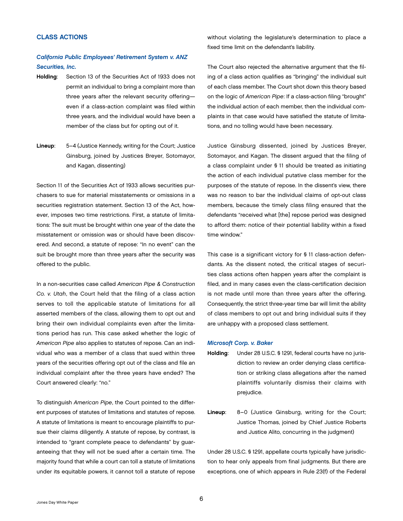# <span id="page-8-0"></span>CLASS ACTIONS

# *California Public Employees' Retirement System v. ANZ Securities, Inc.*

- Holding: Section 13 of the Securities Act of 1933 does not permit an individual to bring a complaint more than three years after the relevant security offering even if a class-action complaint was filed within three years, and the individual would have been a member of the class but for opting out of it.
- Lineup: 5–4 (Justice Kennedy, writing for the Court; Justice Ginsburg, joined by Justices Breyer, Sotomayor, and Kagan, dissenting)

Section 11 of the Securities Act of 1933 allows securities purchasers to sue for material misstatements or omissions in a securities registration statement. Section 13 of the Act, however, imposes two time restrictions. First, a statute of limitations: The suit must be brought within one year of the date the misstatement or omission was or should have been discovered. And second, a statute of repose: "In no event" can the suit be brought more than three years after the security was offered to the public.

In a non-securities case called *American Pipe & Construction Co. v. Utah*, the Court held that the filing of a class action serves to toll the applicable statute of limitations for all asserted members of the class, allowing them to opt out and bring their own individual complaints even after the limitations period has run. This case asked whether the logic of *American Pipe* also applies to statutes of repose. Can an individual who was a member of a class that sued within three years of the securities offering opt out of the class and file an individual complaint after the three years have ended? The Court answered clearly: "no."

To distinguish *American Pipe*, the Court pointed to the different purposes of statutes of limitations and statutes of repose. A statute of limitations is meant to encourage plaintiffs to pursue their claims diligently. A statute of repose, by contrast, is intended to "grant complete peace to defendants" by guaranteeing that they will not be sued after a certain time. The majority found that while a court can toll a statute of limitations under its equitable powers, it cannot toll a statute of repose

without violating the legislature's determination to place a fixed time limit on the defendant's liability.

The Court also rejected the alternative argument that the filing of a class action qualifies as "bringing" the individual suit of each class member. The Court shot down this theory based on the logic of *American Pipe*: If a class-action filing "brought" the individual action of each member, then the individual complaints in that case would have satisfied the statute of limitations, and no tolling would have been necessary.

Justice Ginsburg dissented, joined by Justices Breyer, Sotomayor, and Kagan. The dissent argued that the filing of a class complaint under § 11 should be treated as initiating the action of each individual putative class member for the purposes of the statute of repose. In the dissent's view, there was no reason to bar the individual claims of opt-out class members, because the timely class filing ensured that the defendants "received what [the] repose period was designed to afford them: notice of their potential liability within a fixed time window."

This case is a significant victory for § 11 class-action defendants. As the dissent noted, the critical stages of securities class actions often happen years after the complaint is filed, and in many cases even the class-certification decision is not made until more than three years after the offering. Consequently, the strict three-year time bar will limit the ability of class members to opt out and bring individual suits if they are unhappy with a proposed class settlement.

#### *Microsoft Corp. v. Baker*

- Holding: Under 28 U.S.C. § 1291, federal courts have no jurisdiction to review an order denying class certification or striking class allegations after the named plaintiffs voluntarily dismiss their claims with prejudice.
- Lineup: 8–0 (Justice Ginsburg, writing for the Court; Justice Thomas, joined by Chief Justice Roberts and Justice Alito, concurring in the judgment)

Under 28 U.S.C. § 1291, appellate courts typically have jurisdiction to hear only appeals from final judgments. But there are exceptions, one of which appears in Rule 23(f) of the Federal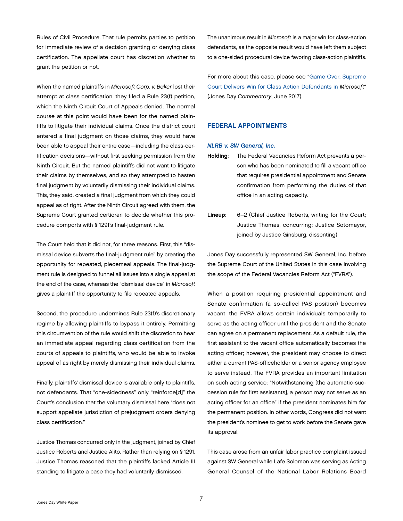<span id="page-9-0"></span>Rules of Civil Procedure. That rule permits parties to petition for immediate review of a decision granting or denying class certification. The appellate court has discretion whether to grant the petition or not.

When the named plaintiffs in *Microsoft Corp. v. Baker* lost their attempt at class certification, they filed a Rule 23(f) petition, which the Ninth Circuit Court of Appeals denied. The normal course at this point would have been for the named plaintiffs to litigate their individual claims. Once the district court entered a final judgment on those claims, they would have been able to appeal their entire case—including the class-certification decisions—without first seeking permission from the Ninth Circuit. But the named plaintiffs did not want to litigate their claims by themselves, and so they attempted to hasten final judgment by voluntarily dismissing their individual claims. This, they said, created a final judgment from which they could appeal as of right. After the Ninth Circuit agreed with them, the Supreme Court granted certiorari to decide whether this procedure comports with § 1291's final-judgment rule.

The Court held that it did not, for three reasons. First, this "dismissal device subverts the final-judgment rule" by creating the opportunity for repeated, piecemeal appeals. The final-judgment rule is designed to funnel all issues into a single appeal at the end of the case, whereas the "dismissal device" in *Microsoft* gives a plaintiff the opportunity to file repeated appeals.

Second, the procedure undermines Rule 23(f)'s discretionary regime by allowing plaintiffs to bypass it entirely. Permitting this circumvention of the rule would shift the discretion to hear an immediate appeal regarding class certification from the courts of appeals to plaintiffs, who would be able to invoke appeal of as right by merely dismissing their individual claims.

Finally, plaintiffs' dismissal device is available only to plaintiffs, not defendants. That "one-sidedness" only "reinforce[d]" the Court's conclusion that the voluntary dismissal here "does not support appellate jurisdiction of prejudgment orders denying class certification*.*"

Justice Thomas concurred only in the judgment, joined by Chief Justice Roberts and Justice Alito. Rather than relying on § 1291, Justice Thomas reasoned that the plaintiffs lacked Article III standing to litigate a case they had voluntarily dismissed.

The unanimous result in *Microsoft* is a major win for class-action defendants, as the opposite result would have left them subject to a one-sided procedural device favoring class-action plaintiffs.

For more about this case, please see ["Game Over: Supreme](http://www.jonesday.com/game-over-supreme-court-delivers-win-for-class-action-defendants-in-microsoft-06-23-2017/) [Court Delivers Win for Class Action Defendants in](http://www.jonesday.com/game-over-supreme-court-delivers-win-for-class-action-defendants-in-microsoft-06-23-2017/) *Microsoft*" (Jones Day *Commentary*, June 2017).

# FEDERAL APPOINTMENTS

#### *NLRB v. SW General, Inc.*

- Holding: The Federal Vacancies Reform Act prevents a person who has been nominated to fill a vacant office that requires presidential appointment and Senate confirmation from performing the duties of that office in an acting capacity.
- Lineup: 6–2 (Chief Justice Roberts, writing for the Court; Justice Thomas, concurring; Justice Sotomayor, joined by Justice Ginsburg, dissenting)

Jones Day successfully represented SW General, Inc. before the Supreme Court of the United States in this case involving the scope of the Federal Vacancies Reform Act ("FVRA").

When a position requiring presidential appointment and Senate confirmation (a so-called PAS position) becomes vacant, the FVRA allows certain individuals temporarily to serve as the acting officer until the president and the Senate can agree on a permanent replacement. As a default rule, the first assistant to the vacant office automatically becomes the acting officer; however, the president may choose to direct either a current PAS-officeholder or a senior agency employee to serve instead. The FVRA provides an important limitation on such acting service: "Notwithstanding [the automatic-succession rule for first assistants], a person may not serve as an acting officer for an office" if the president nominates him for the permanent position. In other words, Congress did not want the president's nominee to get to work before the Senate gave its approval.

This case arose from an unfair labor practice complaint issued against SW General while Lafe Solomon was serving as Acting General Counsel of the National Labor Relations Board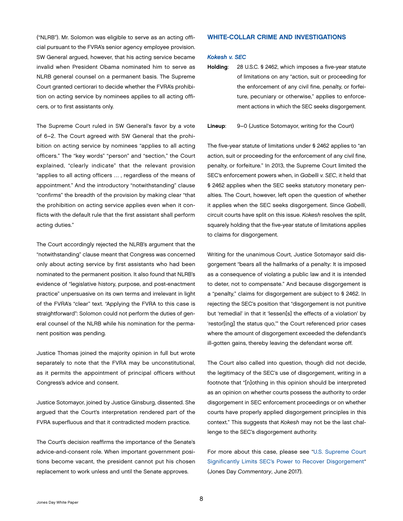<span id="page-10-0"></span>("NLRB"). Mr. Solomon was eligible to serve as an acting official pursuant to the FVRA's senior agency employee provision. SW General argued, however, that his acting service became invalid when President Obama nominated him to serve as NLRB general counsel on a permanent basis. The Supreme Court granted certiorari to decide whether the FVRA's prohibition on acting service by nominees applies to all acting officers, or to first assistants only.

The Supreme Court ruled in SW General's favor by a vote of 6–2. The Court agreed with SW General that the prohibition on acting service by nominees "applies to all acting officers." The "key words" "person" and "section," the Court explained, "clearly indicate" that the relevant provision "applies to all acting officers … , regardless of the means of appointment." And the introductory "notwithstanding" clause "confirms" the breadth of the provision by making clear "that the prohibition on acting service applies even when it conflicts with the default rule that the first assistant shall perform acting duties."

The Court accordingly rejected the NLRB's argument that the "notwithstanding" clause meant that Congress was concerned only about acting service by first assistants who had been nominated to the permanent position. It also found that NLRB's evidence of "legislative history, purpose, and post-enactment practice" unpersuasive on its own terms and irrelevant in light of the FVRA's "clear" text. "Applying the FVRA to this case is straightforward": Solomon could not perform the duties of general counsel of the NLRB while his nomination for the permanent position was pending.

Justice Thomas joined the majority opinion in full but wrote separately to note that the FVRA may be unconstitutional, as it permits the appointment of principal officers without Congress's advice and consent.

Justice Sotomayor, joined by Justice Ginsburg, dissented. She argued that the Court's interpretation rendered part of the FVRA superfluous and that it contradicted modern practice.

The Court's decision reaffirms the importance of the Senate's advice-and-consent role. When important government positions become vacant, the president cannot put his chosen replacement to work unless and until the Senate approves.

# WHITE-COLLAR CRIME AND INVESTIGATIONS

#### *Kokesh v. SEC*

Holding: 28 U.S.C. § 2462, which imposes a five-year statute of limitations on any "action, suit or proceeding for the enforcement of any civil fine, penalty, or forfeiture, pecuniary or otherwise," applies to enforcement actions in which the SEC seeks disgorgement.

#### Lineup: 9–0 (Justice Sotomayor, writing for the Court)

The five-year statute of limitations under § 2462 applies to "an action, suit or proceeding for the enforcement of any civil fine, penalty, or forfeiture." In 2013, the Supreme Court limited the SEC's enforcement powers when, in *Gabelli v. SEC*, it held that § 2462 applies when the SEC seeks statutory monetary penalties. The Court, however, left open the question of whether it applies when the SEC seeks disgorgement. Since *Gabelli*, circuit courts have split on this issue. *Kokesh* resolves the split, squarely holding that the five-year statute of limitations applies to claims for disgorgement.

Writing for the unanimous Court, Justice Sotomayor said disgorgement "bears all the hallmarks of a penalty: It is imposed as a consequence of violating a public law and it is intended to deter, not to compensate." And because disgorgement is a "penalty," claims for disgorgement are subject to § 2462. In rejecting the SEC's position that "disgorgement is not punitive but 'remedial' in that it 'lessen[s] the effects of a violation' by 'restor[ing] the status quo,'" the Court referenced prior cases where the amount of disgorgement exceeded the defendant's ill-gotten gains, thereby leaving the defendant worse off.

The Court also called into question, though did not decide, the legitimacy of the SEC's use of disgorgement, writing in a footnote that "[n]othing in this opinion should be interpreted as an opinion on whether courts possess the authority to order disgorgement in SEC enforcement proceedings or on whether courts have properly applied disgorgement principles in this context." This suggests that *Kokesh* may not be the last challenge to the SEC's disgorgement authority.

For more about this case, please see "[U.S. Supreme Court](http://www.jonesday.com/us-supreme-court-significantly-limits-secs-power-to-recover-disgorgement-06-07-2017/) [Significantly Limits SEC's Power to Recover Disgorgement](http://www.jonesday.com/us-supreme-court-significantly-limits-secs-power-to-recover-disgorgement-06-07-2017/)" (Jones Day *Commentary*, June 2017).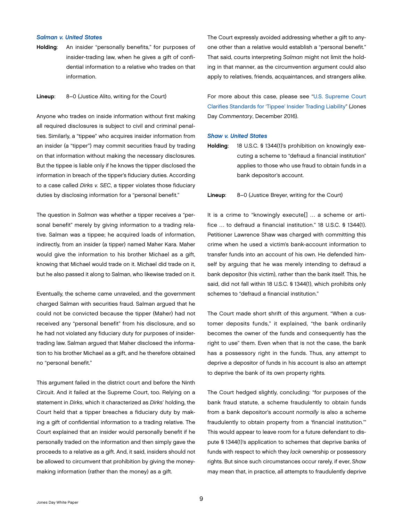#### <span id="page-11-0"></span>*Salman v. United States*

Holding: An insider "personally benefits," for purposes of insider-trading law, when he gives a gift of confidential information to a relative who trades on that information.

#### Lineup: 8–0 (Justice Alito, writing for the Court)

Anyone who trades on inside information without first making all required disclosures is subject to civil and criminal penalties. Similarly, a "tippee" who acquires insider information from an insider (a "tipper") may commit securities fraud by trading on that information without making the necessary disclosures. But the tippee is liable only if he knows the tipper disclosed the information in breach of the tipper's fiduciary duties. According to a case called *Dirks v. SEC*, a tipper violates those fiduciary duties by disclosing information for a "personal benefit."

The question in *Salman* was whether a tipper receives a "personal benefit" merely by giving information to a trading relative. Salman was a tippee; he acquired loads of information, indirectly, from an insider (a tipper) named Maher Kara. Maher would give the information to his brother Michael as a gift, knowing that Michael would trade on it. Michael did trade on it, but he also passed it along to Salman, who likewise traded on it.

Eventually, the scheme came unraveled, and the government charged Salman with securities fraud. Salman argued that he could not be convicted because the tipper (Maher) had not received any "personal benefit" from his disclosure, and so he had not violated any fiduciary duty for purposes of insidertrading law. Salman argued that Maher disclosed the information to his brother Michael as a gift, and he therefore obtained no "personal benefit."

This argument failed in the district court and before the Ninth Circuit. And it failed at the Supreme Court, too. Relying on a statement in *Dirks*, which it characterized as *Dirks*' holding, the Court held that a tipper breaches a fiduciary duty by making a gift of confidential information to a trading relative. The Court explained that an insider would personally benefit if he personally traded on the information and then simply gave the proceeds to a relative as a gift. And, it said, insiders should not be allowed to circumvent that prohibition by giving the moneymaking information (rather than the money) as a gift.

The Court expressly avoided addressing whether a gift to anyone other than a relative would establish a "personal benefit." That said, courts interpreting *Salman* might not limit the holding in that manner, as the circumvention argument could also apply to relatives, friends, acquaintances, and strangers alike.

For more about this case, please see "[U.S. Supreme Court](http://www.jonesday.com/us-supreme-court-clarifies-standards-for-tippee-insider-trading-liability-12-12-2016/) [Clarifies Standards for 'Tippee' Insider Trading Liability](http://www.jonesday.com/us-supreme-court-clarifies-standards-for-tippee-insider-trading-liability-12-12-2016/)" (Jones Day *Commentary*, December 2016).

#### *Shaw v. United States*

Holding: 18 U.S.C. § 1344(1)'s prohibition on knowingly executing a scheme to "defraud a financial institution" applies to those who use fraud to obtain funds in a bank depositor's account.

Lineup: 8–0 (Justice Breyer, writing for the Court)

It is a crime to "knowingly execute[] … a scheme or artifice … to defraud a financial institution." 18 U.S.C. § 1344(1). Petitioner Lawrence Shaw was charged with committing this crime when he used a victim's bank-account information to transfer funds into an account of his own. He defended himself by arguing that he was merely intending to defraud a bank depositor (his victim), rather than the bank itself. This, he said, did not fall within 18 U.S.C. § 1344(1), which prohibits only schemes to "defraud a financial institution."

The Court made short shrift of this argument. "When a customer deposits funds," it explained, "the bank ordinarily becomes the owner of the funds and consequently has the right to use" them. Even when that is not the case, the bank has a possessory right in the funds. Thus, any attempt to deprive a depositor of funds in his account is also an attempt to deprive the bank of its own property rights.

The Court hedged slightly, concluding: "for purposes of the bank fraud statute, a scheme fraudulently to obtain funds from a bank depositor's account *normally* is also a scheme fraudulently to obtain property from a 'financial institution.'" This would appear to leave room for a future defendant to dispute § 1344(1)'s application to schemes that deprive banks of funds with respect to which they *lack* ownership or possessory rights. But since such circumstances occur rarely, if ever, *Shaw*  may mean that, in practice, all attempts to fraudulently deprive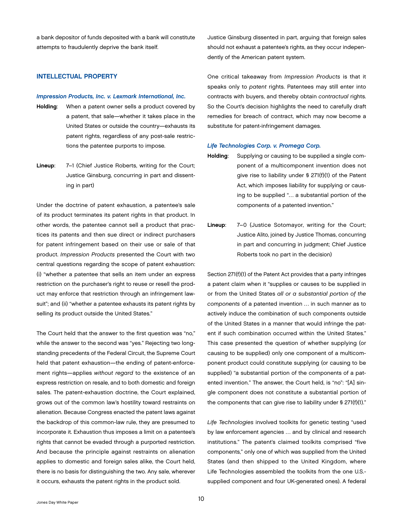<span id="page-12-0"></span>a bank depositor of funds deposited with a bank will constitute attempts to fraudulently deprive the bank itself.

# INTELLECTUAL PROPERTY

#### *Impression Products, Inc. v. Lexmark International, Inc.*

- Holding: When a patent owner sells a product covered by a patent, that sale—whether it takes place in the United States or outside the country—exhausts its patent rights, regardless of any post-sale restrictions the patentee purports to impose.
- Lineup: 7-1 (Chief Justice Roberts, writing for the Court; Justice Ginsburg, concurring in part and dissenting in part)

Under the doctrine of patent exhaustion, a patentee's sale of its product terminates its patent rights in that product. In other words, the patentee cannot sell a product that practices its patents and then sue direct or indirect purchasers for patent infringement based on their use or sale of that product. *Impression Products* presented the Court with two central questions regarding the scope of patent exhaustion: (i) "whether a patentee that sells an item under an express restriction on the purchaser's right to reuse or resell the product may enforce that restriction through an infringement lawsuit"; and (ii) "whether a patentee exhausts its patent rights by selling its product outside the United States."

The Court held that the answer to the first question was "no," while the answer to the second was "yes." Rejecting two longstanding precedents of the Federal Circuit, the Supreme Court held that patent exhaustion—the ending of patent-enforcement rights—applies *without regard* to the existence of an express restriction on resale, and to both domestic and foreign sales. The patent-exhaustion doctrine, the Court explained, grows out of the common law's hostility toward restraints on alienation. Because Congress enacted the patent laws against the backdrop of this common-law rule, they are presumed to incorporate it. Exhaustion thus imposes a limit on a patentee's rights that cannot be evaded through a purported restriction. And because the principle against restraints on alienation applies to domestic and foreign sales alike, the Court held, there is no basis for distinguishing the two. Any sale, wherever it occurs, exhausts the patent rights in the product sold.

Justice Ginsburg dissented in part, arguing that foreign sales should not exhaust a patentee's rights, as they occur independently of the American patent system.

One critical takeaway from *Impression Products* is that it speaks only to *patent* rights. Patentees may still enter into contracts with buyers, and thereby obtain *contractual* rights. So the Court's decision highlights the need to carefully draft remedies for breach of contract, which may now become a substitute for patent-infringement damages.

#### *Life Technologies Corp. v. Promega Corp.*

- Holding: Supplying or causing to be supplied a single component of a multicomponent invention does not give rise to liability under § 271(f)(1) of the Patent Act, which imposes liability for supplying or causing to be supplied "… a substantial portion of the components of a patented invention."
- Lineup: 7–0 (Justice Sotomayor, writing for the Court; Justice Alito, joined by Justice Thomas, concurring in part and concurring in judgment; Chief Justice Roberts took no part in the decision)

Section 271(f)(1) of the Patent Act provides that a party infringes a patent claim when it "supplies or causes to be supplied in or from the United States *all or a substantial portion of the components* of a patented invention … in such manner as to actively induce the combination of such components outside of the United States in a manner that would infringe the patent if such combination occurred within the United States." This case presented the question of whether supplying (or causing to be supplied) only one component of a multicomponent product could constitute supplying (or causing to be supplied) "a substantial portion of the components of a patented invention." The answer, the Court held, is "no": "[A] single component does not constitute a substantial portion of the components that can give rise to liability under § 271(f)(1)."

*Life Technologies* involved toolkits for genetic testing "used by law enforcement agencies … and by clinical and research institutions." The patent's claimed toolkits comprised "five components," only one of which was supplied from the United States (and then shipped to the United Kingdom, where Life Technologies assembled the toolkits from the one U.S. supplied component and four UK-generated ones). A federal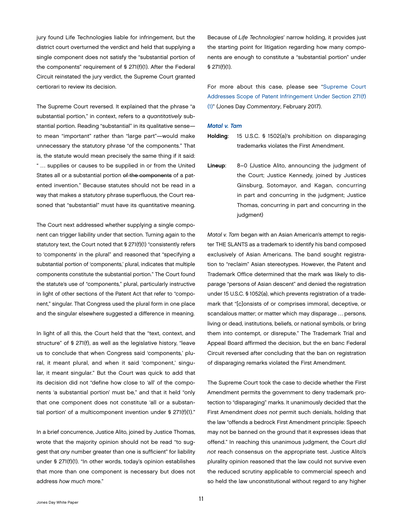<span id="page-13-0"></span>jury found Life Technologies liable for infringement, but the district court overturned the verdict and held that supplying a single component does not satisfy the "substantial portion of the components" requirement of § 271(f)(1). After the Federal Circuit reinstated the jury verdict, the Supreme Court granted certiorari to review its decision.

The Supreme Court reversed. It explained that the phrase "a substantial portion," in context, refers to a *quantitatively* substantial portion. Reading "substantial" in its qualitative sense to mean "important" rather than "large part"—would make unnecessary the statutory phrase "of the components." That is, the statute would mean precisely the same thing if it said: " … supplies or causes to be supplied in or from the United States all or a substantial portion of the components of a patented invention." Because statutes should not be read in a way that makes a statutory phrase superfluous, the Court reasoned that "substantial" must have its quantitative meaning.

The Court next addressed whether supplying a single component can trigger liability under that section. Turning again to the statutory text, the Court noted that § 271(f)(1) "consistently refers to 'components' in the plural" and reasoned that "specifying a substantial portion of 'components,' plural, indicates that multiple components constitute the substantial portion." The Court found the statute's use of "components," plural, particularly instructive in light of other sections of the Patent Act that refer to "component," singular. That Congress used the plural form in one place and the singular elsewhere suggested a difference in meaning.

In light of all this, the Court held that the "text, context, and structure" of § 271(f), as well as the legislative history, "leave us to conclude that when Congress said 'components,' plural, it meant plural, and when it said 'component,' singular, it meant singular." But the Court was quick to add that its decision did not "define how close to 'all' of the components 'a substantial portion' must be," and that it held "only that one component does not constitute 'all or a substantial portion' of a multicomponent invention under § 271(f)(1)."

In a brief concurrence, Justice Alito, joined by Justice Thomas, wrote that the majority opinion should not be read "to suggest that *any* number greater than one is sufficient" for liability under § 271(f)(1). "In other words, today's opinion establishes that more than one component is necessary but does not address *how much* more."

Because of *Life Technologies*' narrow holding, it provides just the starting point for litigation regarding how many components are enough to constitute a "substantial portion" under § 271(f)(1).

For more about this case, please see ["Supreme Court](http://www.jonesday.com/supreme-court-addresses-scope-of-patent-infringement-under-section-271f1-02-24-2017/) [Addresses Scope of Patent Infringement Under Section 271\(f\)](http://www.jonesday.com/supreme-court-addresses-scope-of-patent-infringement-under-section-271f1-02-24-2017/) [\(1\)"](http://www.jonesday.com/supreme-court-addresses-scope-of-patent-infringement-under-section-271f1-02-24-2017/) (Jones Day *Commentary*, February 2017).

#### *Matal v. Tam*

Holding: 15 U.S.C. § 1502(a)'s prohibition on disparaging trademarks violates the First Amendment.

Lineup: 8–0 (Justice Alito, announcing the judgment of the Court; Justice Kennedy, joined by Justices Ginsburg, Sotomayor, and Kagan, concurring in part and concurring in the judgment; Justice Thomas, concurring in part and concurring in the judgment)

*Matal v. Tam* began with an Asian American's attempt to register THE SLANTS as a trademark to identify his band composed exclusively of Asian Americans. The band sought registration to "reclaim" Asian stereotypes. However, the Patent and Trademark Office determined that the mark was likely to disparage "persons of Asian descent" and denied the registration under 15 U.S.C. § 1052(a), which prevents registration of a trademark that "[c]onsists of or comprises immoral, deceptive, or scandalous matter; or matter which may disparage … persons, living or dead, institutions, beliefs, or national symbols, or bring them into contempt, or disrepute." The Trademark Trial and Appeal Board affirmed the decision, but the en banc Federal Circuit reversed after concluding that the ban on registration of disparaging remarks violated the First Amendment.

The Supreme Court took the case to decide whether the First Amendment permits the government to deny trademark protection to "disparaging" marks. It unanimously decided that the First Amendment *does not* permit such denials, holding that the law "offends a bedrock First Amendment principle: Speech may not be banned on the ground that it expresses ideas that offend." In reaching this unanimous judgment, the Court *did not* reach consensus on the appropriate test. Justice Alito's plurality opinion reasoned that the law could not survive even the reduced scrutiny applicable to commercial speech and so held the law unconstitutional without regard to any higher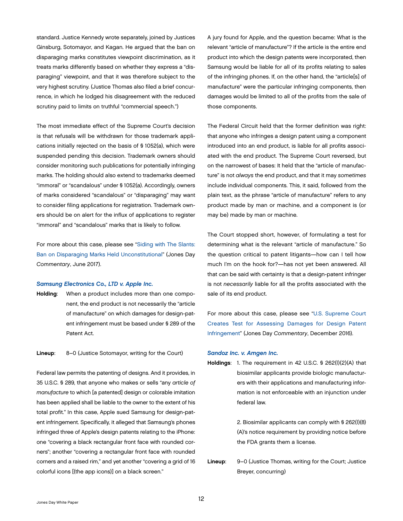<span id="page-14-0"></span>standard. Justice Kennedy wrote separately, joined by Justices Ginsburg, Sotomayor, and Kagan. He argued that the ban on disparaging marks constitutes viewpoint discrimination, as it treats marks differently based on whether they express a "disparaging" viewpoint, and that it was therefore subject to the very highest scrutiny. (Justice Thomas also filed a brief concurrence, in which he lodged his disagreement with the reduced scrutiny paid to limits on truthful "commercial speech.")

The most immediate effect of the Supreme Court's decision is that refusals will be withdrawn for those trademark applications initially rejected on the basis of § 1052(a), which were suspended pending this decision. Trademark owners should consider monitoring such publications for potentially infringing marks. The holding should also extend to trademarks deemed "immoral" or "scandalous" under § 1052(a). Accordingly, owners of marks considered "scandalous" or "disparaging" may want to consider filing applications for registration. Trademark owners should be on alert for the influx of applications to register "immoral" and "scandalous" marks that is likely to follow.

For more about this case, please see ["Siding with The Slants:](http://www.jonesday.com/siding-with-the-slants-ban-on-disparaging-marks-held-unconstitutional-06-21-2017/)  [Ban on Disparaging Marks Held Unconstitutional"](http://www.jonesday.com/siding-with-the-slants-ban-on-disparaging-marks-held-unconstitutional-06-21-2017/) (Jones Day *Commentary*, June 2017).

#### *Samsung Electronics Co., LTD v. Apple Inc.*

Holding: When a product includes more than one component, the end product is not necessarily the "article of manufacture" on which damages for design-patent infringement must be based under § 289 of the Patent Act.

Lineup: 8–0 (Justice Sotomayor, writing for the Court)

Federal law permits the patenting of designs. And it provides, in 35 U.S.C. § 289, that anyone who makes or sells "any *article of manufacture* to which [a patented] design or colorable imitation has been applied shall be liable to the owner to the extent of his total profit." In this case, Apple sued Samsung for design-patent infringement. Specifically, it alleged that Samsung's phones infringed three of Apple's design patents relating to the iPhone: one "covering a black rectangular front face with rounded corners"; another "covering a rectangular front face with rounded corners and a raised rim," and yet another "covering a grid of 16 colorful icons [(the app icons)] on a black screen."

A jury found for Apple, and the question became: What is the relevant "article of manufacture"? If the article is the entire end product into which the design patents were incorporated, then Samsung would be liable for all of its profits relating to sales of the infringing phones. If, on the other hand, the "article[s] of manufacture" were the particular infringing components, then damages would be limited to all of the profits from the sale of those components.

The Federal Circuit held that the former definition was right: that anyone who infringes a design patent using a component introduced into an end product, is liable for all profits associated with the end product. The Supreme Court reversed, but on the narrowest of bases: It held that the "article of manufacture" is not *always* the end product, and that it may *sometimes*  include individual components. This, it said, followed from the plain text, as the phrase "article of manufacture" refers to any product made by man or machine, and a component is (or may be) made by man or machine.

The Court stopped short, however, of formulating a test for determining what is the relevant "article of manufacture." So the question critical to patent litigants—how can I tell how much I'm on the hook for?—has not yet been answered. All that can be said with certainty is that a design-patent infringer is not *necessarily* liable for all the profits associated with the sale of its end product.

For more about this case, please see "[U.S. Supreme Court](http://www.jonesday.com/us-supreme-court-creates-test-for-assessing-damages-for-design-patent-infringement-12-07-2016/) [Creates Test for Assessing Damages for Design Patent](http://www.jonesday.com/us-supreme-court-creates-test-for-assessing-damages-for-design-patent-infringement-12-07-2016/) [Infringement"](http://www.jonesday.com/us-supreme-court-creates-test-for-assessing-damages-for-design-patent-infringement-12-07-2016/) (Jones Day *Commentary*, December 2016).

#### *Sandoz Inc. v. Amgen Inc.*

Holdings: 1. The requirement in 42 U.S.C. § 262(l)(2)(A) that biosimilar applicants provide biologic manufacturers with their applications and manufacturing information is not enforceable with an injunction under federal law.

> 2. Biosimilar applicants can comply with § 262(l)(8) (A)'s notice requirement by providing notice before the FDA grants them a license.

Lineup: 9–0 (Justice Thomas, writing for the Court; Justice Breyer, concurring)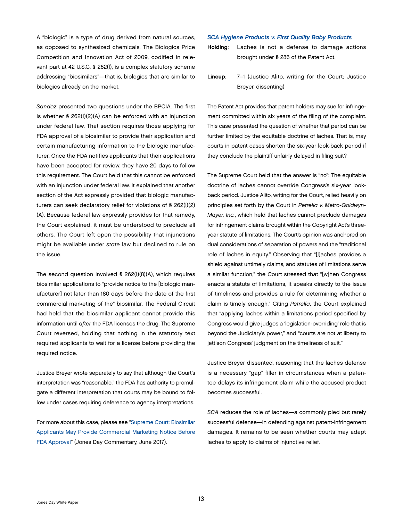<span id="page-15-0"></span>A "biologic" is a type of drug derived from natural sources, as opposed to synthesized chemicals. The Biologics Price Competition and Innovation Act of 2009, codified in relevant part at 42 U.S.C. § 262(l), is a complex statutory scheme addressing "biosimilars"—that is, biologics that are similar to biologics already on the market.

*Sandoz* presented two questions under the BPCIA. The first is whether § 262(l)(2)(A) can be enforced with an injunction under federal law. That section requires those applying for FDA approval of a biosimilar to provide their application and certain manufacturing information to the biologic manufacturer. Once the FDA notifies applicants that their applications have been accepted for review, they have 20 days to follow this requirement. The Court held that this cannot be enforced with an injunction under federal law. It explained that another section of the Act expressly provided that biologic manufacturers can seek declaratory relief for violations of § 262(l)(2) (A). Because federal law expressly provides for that remedy, the Court explained, it must be understood to preclude all others. The Court left open the possibility that injunctions might be available under *state* law but declined to rule on the issue.

The second question involved § 262(l)(8)(A), which requires biosimilar applications to "provide notice to the [biologic manufacturer] not later than 180 days before the date of the first commercial marketing of the" biosimilar. The Federal Circuit had held that the biosimilar applicant cannot provide this information until *after* the FDA licenses the drug. The Supreme Court reversed, holding that nothing in the statutory text required applicants to wait for a license before providing the required notice.

Justice Breyer wrote separately to say that although the Court's interpretation was "reasonable," the FDA has authority to promulgate a different interpretation that courts may be bound to follow under cases requiring deference to agency interpretations.

For more about this case, please see ["Supreme Court: Biosimilar](http://www.jonesday.com/supreme-court-biosimilar-applicants-may-provide-commercial-marketing-notice-before-fda-approval-06-21-2017/)  [Applicants May Provide Commercial Marketing Notice Before](http://www.jonesday.com/supreme-court-biosimilar-applicants-may-provide-commercial-marketing-notice-before-fda-approval-06-21-2017/)  [FDA Approval"](http://www.jonesday.com/supreme-court-biosimilar-applicants-may-provide-commercial-marketing-notice-before-fda-approval-06-21-2017/) (Jones Day Commentary, June 2017).

#### *SCA Hygiene Products v. First Quality Baby Products*

Holding: Laches is not a defense to damage actions brought under § 286 of the Patent Act.

Lineup: 7–1 (Justice Alito, writing for the Court; Justice Breyer, dissenting)

The Patent Act provides that patent holders may sue for infringement committed within six years of the filing of the complaint. This case presented the question of whether that period can be further limited by the equitable doctrine of laches. That is, may courts in patent cases shorten the six-year look-back period if they conclude the plaintiff unfairly delayed in filing suit?

The Supreme Court held that the answer is "no": The equitable doctrine of laches cannot override Congress's six-year lookback period. Justice Alito, writing for the Court, relied heavily on principles set forth by the Court in *Petrella v. Metro-Goldwyn-Mayer, Inc.*, which held that laches cannot preclude damages for infringement claims brought within the Copyright Act's threeyear statute of limitations. The Court's opinion was anchored on dual considerations of separation of powers and the "traditional role of laches in equity." Observing that "[l]aches provides a shield against untimely claims, and statutes of limitations serve a similar function," the Court stressed that "[w]hen Congress enacts a statute of limitations, it speaks directly to the issue of timeliness and provides a rule for determining whether a claim is timely enough." Citing *Petrella*, the Court explained that "applying laches within a limitations period specified by Congress would give judges a 'legislation-overriding' role that is beyond the Judiciary's power," and "courts are not at liberty to jettison Congress' judgment on the timeliness of suit."

Justice Breyer dissented, reasoning that the laches defense is a necessary "gap" filler in circumstances when a patentee delays its infringement claim while the accused product becomes successful.

*SCA* reduces the role of laches—a commonly pled but rarely successful defense—in defending against patent-infringement damages. It remains to be seen whether courts may adapt laches to apply to claims of injunctive relief.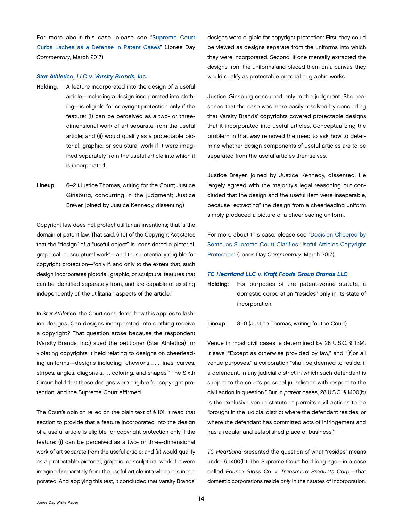<span id="page-16-0"></span>For more about this case, please see "[Supreme Court](http://www.jonesday.com/supreme-court-curbs-laches-as-a-defense-in-patent-cases-03-23-2017/)  [Curbs Laches as a Defense in Patent Cases](http://www.jonesday.com/supreme-court-curbs-laches-as-a-defense-in-patent-cases-03-23-2017/)" (Jones Day *Commentary*, March 2017).

#### *Star Athletica, LLC v. Varsity Brands, Inc.*

- Holding: A feature incorporated into the design of a useful article—including a design incorporated into clothing—is eligible for copyright protection only if the feature: (i) can be perceived as a two- or threedimensional work of art separate from the useful article; and (ii) would qualify as a protectable pictorial, graphic, or sculptural work if it were imagined separately from the useful article into which it is incorporated.
- Lineup: 6–2 (Justice Thomas, writing for the Court; Justice Ginsburg, concurring in the judgment; Justice Breyer, joined by Justice Kennedy, dissenting)

Copyright law does not protect utilitarian inventions; that is the domain of patent law. That said, § 101 of the Copyright Act states that the "design" of a "useful object" is "considered a pictorial, graphical, or sculptural work"—and thus potentially eligible for copyright protection—"only if, and only to the extent that, such design incorporates pictorial, graphic, or sculptural features that can be identified separately from, and are capable of existing independently of, the utilitarian aspects of the article."

In *Star Athletica*, the Court considered how this applies to fashion designs: Can designs incorporated into clothing receive a copyright? That question arose because the respondent (Varsity Brands, Inc.) sued the petitioner (Star Athletica) for violating copyrights it held relating to designs on cheerleading uniforms—designs including "chevrons … , lines, curves, stripes, angles, diagonals, … coloring, and shapes." The Sixth Circuit held that these designs were eligible for copyright protection, and the Supreme Court affirmed.

The Court's opinion relied on the plain text of § 101. It read that section to provide that a feature incorporated into the design of a useful article is eligible for copyright protection only if the feature: (i) can be perceived as a two- or three-dimensional work of art separate from the useful article; and (ii) would qualify as a protectable pictorial, graphic, or sculptural work if it were imagined separately from the useful article into which it is incorporated. And applying this test, it concluded that Varsity Brands'

designs were eligible for copyright protection: First, they could be viewed as designs separate from the uniforms into which they were incorporated. Second, if one mentally extracted the designs from the uniforms and placed them on a canvas, they would qualify as protectable pictorial or graphic works.

Justice Ginsburg concurred only in the judgment. She reasoned that the case was more easily resolved by concluding that Varsity Brands' copyrights covered protectable designs that it incorporated into useful articles. Conceptualizing the problem in that way removed the need to ask how to determine whether design components of useful articles are to be separated from the useful articles themselves.

Justice Breyer, joined by Justice Kennedy, dissented. He largely agreed with the majority's legal reasoning but concluded that the design and the useful item were inseparable, because "extracting" the design from a cheerleading uniform simply produced a picture of a cheerleading uniform.

For more about this case, please see "[Decision Cheered by](http://www.jonesday.com/decision-cheered-by-some-as-supreme-court-clarifies-useful-articles-copyright-protection-03-28-2017/) [Some, as Supreme Court Clarifies Useful Articles Copyright](http://www.jonesday.com/decision-cheered-by-some-as-supreme-court-clarifies-useful-articles-copyright-protection-03-28-2017/) [Protection](http://www.jonesday.com/decision-cheered-by-some-as-supreme-court-clarifies-useful-articles-copyright-protection-03-28-2017/)" (Jones Day *Commentary*, March 2017).

#### *TC Heartland LLC v. Kraft Foods Group Brands LLC*

Holding: For purposes of the patent-venue statute, a domestic corporation "resides" only in its state of incorporation.

#### Lineup: 8–0 (Justice Thomas, writing for the Court)

Venue in most civil cases is determined by 28 U.S.C. § 1391. It says: "Except as otherwise provided by law," and "[f]or all venue purposes," a corporation "shall be deemed to reside, if a defendant, in any judicial district in which such defendant is subject to the court's personal jurisdiction with respect to the civil action in question." But in *patent* cases, 28 U.S.C. § 1400(b) is the exclusive venue statute. It permits civil actions to be "brought in the judicial district where the defendant resides, or where the defendant has committed acts of infringement and has a regular and established place of business."

*TC Heartland* presented the question of what "resides" means under § 1400(b). The Supreme Court held long ago—in a case called *Fourco Glass Co. v. Transmirra Products Corp.*—that domestic corporations reside *only* in their states of incorporation.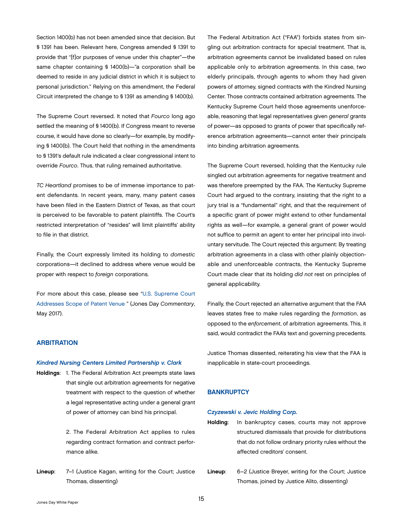<span id="page-17-0"></span>Section 1400(b) has not been amended since that decision. But § 1391 has been. Relevant here, Congress amended § 1391 to provide that "[f]or purposes of venue under this chapter"—the same chapter containing § 1400(b)—"a corporation shall be deemed to reside in any judicial district in which it is subject to personal jurisdiction." Relying on this amendment, the Federal Circuit interpreted the change to § 1391 as amending § 1400(b).

The Supreme Court reversed. It noted that *Fourco* long ago settled the meaning of § 1400(b). If Congress meant to reverse course, it would have done so clearly—for example, by modifying § 1400(b). The Court held that nothing in the amendments to § 1391's default rule indicated a clear congressional intent to override *Fourco*. Thus, that ruling remained authoritative.

*TC Heartland* promises to be of immense importance to patent defendants. In recent years, many, many patent cases have been filed in the Eastern District of Texas, as that court is perceived to be favorable to patent plaintiffs. The Court's restricted interpretation of "resides" will limit plaintiffs' ability to file in that district.

Finally, the Court expressly limited its holding to *domestic*  corporations—it declined to address where venue would be proper with respect to *foreign* corporations.

For more about this case, please see "[U.S. Supreme Court](http://www.jonesday.com/us-supreme-court-addresses-scope-of-patent-venue-05-23-2017/)  [Addresses Scope of Patent Venue](http://www.jonesday.com/us-supreme-court-addresses-scope-of-patent-venue-05-23-2017/) " (Jones Day *Commentary*, May 2017).

# **ARBITRATION**

#### *Kindred Nursing Centers Limited Partnership v. Clark*

Holdings: 1. The Federal Arbitration Act preempts state laws that single out arbitration agreements for negative treatment with respect to the question of whether a legal representative acting under a general grant of power of attorney can bind his principal.

> 2. The Federal Arbitration Act applies to rules regarding contract formation and contract performance alike.

Lineup: 7–1 (Justice Kagan, writing for the Court; Justice Thomas, dissenting)

The Federal Arbitration Act ("FAA") forbids states from singling out arbitration contracts for special treatment. That is, arbitration agreements cannot be invalidated based on rules applicable only to arbitration agreements. In this case, two elderly principals, through agents to whom they had given powers of attorney, signed contracts with the Kindred Nursing Center. Those contracts contained arbitration agreements. The Kentucky Supreme Court held those agreements unenforceable, reasoning that legal representatives given *general* grants of power—as opposed to grants of power that specifically reference arbitration agreements—cannot enter their principals into binding arbitration agreements.

The Supreme Court reversed, holding that the Kentucky rule singled out arbitration agreements for negative treatment and was therefore preempted by the FAA. The Kentucky Supreme Court had argued to the contrary, insisting that the right to a jury trial is a "fundamental" right, and that the requirement of a specific grant of power might extend to other fundamental rights as well—for example, a general grant of power would not suffice to permit an agent to enter her principal into involuntary servitude. The Court rejected this argument: By treating arbitration agreements in a class with other plainly objectionable and unenforceable contracts, the Kentucky Supreme Court made clear that its holding *did not* rest on principles of general applicability.

Finally, the Court rejected an alternative argument that the FAA leaves states free to make rules regarding the *formation*, as opposed to the *enforcement*, of arbitration agreements. This, it said, would contradict the FAA's text and governing precedents.

Justice Thomas dissented, reiterating his view that the FAA is inapplicable in state-court proceedings.

## **BANKRUPTCY**

# *Czyzewski v. Jevic Holding Corp.*

- Holding: In bankruptcy cases, courts may not approve structured dismissals that provide for distributions that do not follow ordinary priority rules without the affected creditors' consent.
- Lineup: 6–2 (Justice Breyer, writing for the Court; Justice Thomas, joined by Justice Alito, dissenting)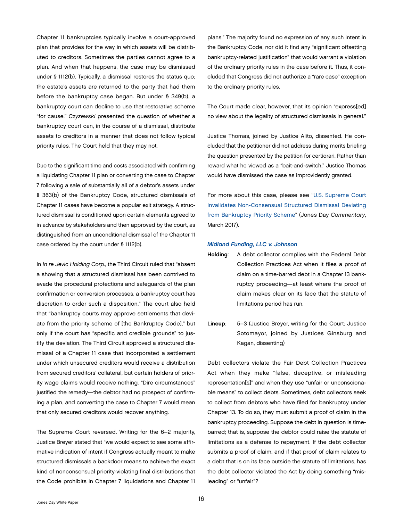<span id="page-18-0"></span>Chapter 11 bankruptcies typically involve a court-approved plan that provides for the way in which assets will be distributed to creditors. Sometimes the parties cannot agree to a plan. And when that happens, the case may be dismissed under § 1112(b). Typically, a dismissal restores the status quo; the estate's assets are returned to the party that had them before the bankruptcy case began. But under § 349(b), a bankruptcy court can decline to use that restorative scheme "for cause." *Czyzewski* presented the question of whether a bankruptcy court can, in the course of a dismissal, distribute assets to creditors in a manner that does not follow typical priority rules. The Court held that they may not.

Due to the significant time and costs associated with confirming a liquidating Chapter 11 plan or converting the case to Chapter 7 following a sale of substantially all of a debtor's assets under § 363(b) of the Bankruptcy Code, structured dismissals of Chapter 11 cases have become a popular exit strategy. A structured dismissal is conditioned upon certain elements agreed to in advance by stakeholders and then approved by the court, as distinguished from an unconditional dismissal of the Chapter 11 case ordered by the court under § 1112(b).

In *In re Jevic Holding Corp.*, the Third Circuit ruled that "absent a showing that a structured dismissal has been contrived to evade the procedural protections and safeguards of the plan confirmation or conversion processes, a bankruptcy court has discretion to order such a disposition." The court also held that "bankruptcy courts may approve settlements that deviate from the priority scheme of [the Bankruptcy Code]," but only if the court has "specific and credible grounds" to justify the deviation. The Third Circuit approved a structured dismissal of a Chapter 11 case that incorporated a settlement under which unsecured creditors would receive a distribution from secured creditors' collateral, but certain holders of priority wage claims would receive nothing. "Dire circumstances" justified the remedy—the debtor had no prospect of confirming a plan, and converting the case to Chapter 7 would mean that only secured creditors would recover anything.

The Supreme Court reversed. Writing for the 6–2 majority, Justice Breyer stated that "we would expect to see some affirmative indication of intent if Congress actually meant to make structured dismissals a backdoor means to achieve the exact kind of nonconsensual priority-violating final distributions that the Code prohibits in Chapter 7 liquidations and Chapter 11

plans." The majority found no expression of any such intent in the Bankruptcy Code, nor did it find any "significant offsetting bankruptcy-related justification" that would warrant a violation of the ordinary priority rules in the case before it. Thus, it concluded that Congress did not authorize a "rare case" exception to the ordinary priority rules.

The Court made clear, however, that its opinion "express[ed] no view about the legality of structured dismissals in general."

Justice Thomas, joined by Justice Alito, dissented. He concluded that the petitioner did not address during merits briefing the question presented by the petition for certiorari. Rather than reward what he viewed as a "bait-and-switch," Justice Thomas would have dismissed the case as improvidently granted.

For more about this case, please see "[U.S. Supreme Court](http://www.jonesday.com/us-supreme-court-invalidates-non-consensual-structured-dismissal-deviating-from-bankruptcy-priority-scheme-03-27-2017/) [Invalidates Non-Consensual Structured Dismissal Deviating](http://www.jonesday.com/us-supreme-court-invalidates-non-consensual-structured-dismissal-deviating-from-bankruptcy-priority-scheme-03-27-2017/) [from Bankruptcy Priority Scheme"](http://www.jonesday.com/us-supreme-court-invalidates-non-consensual-structured-dismissal-deviating-from-bankruptcy-priority-scheme-03-27-2017/) (Jones Day *Commentary*, March 2017).

#### *Midland Funding, LLC v. Johnson*

- Holding: A debt collector complies with the Federal Debt Collection Practices Act when it files a proof of claim on a time-barred debt in a Chapter 13 bankruptcy proceeding—at least where the proof of claim makes clear on its face that the statute of limitations period has run.
- Lineup: 5–3 (Justice Breyer, writing for the Court; Justice Sotomayor, joined by Justices Ginsburg and Kagan, dissenting)

Debt collectors violate the Fair Debt Collection Practices Act when they make "false, deceptive, or misleading representation[s]" and when they use "unfair or unconscionable means" to collect debts. Sometimes, debt collectors seek to collect from debtors who have filed for bankruptcy under Chapter 13. To do so, they must submit a proof of claim in the bankruptcy proceeding. Suppose the debt in question is timebarred; that is, suppose the debtor could raise the statute of limitations as a defense to repayment. If the debt collector submits a proof of claim, and if that proof of claim relates to a debt that is on its face outside the statute of limitations, has the debt collector violated the Act by doing something "misleading" or "unfair"?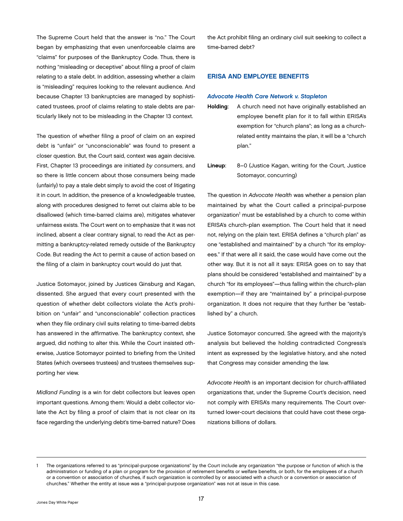<span id="page-19-0"></span>The Supreme Court held that the answer is "no." The Court began by emphasizing that even unenforceable claims are "claims" for purposes of the Bankruptcy Code. Thus, there is nothing "misleading or deceptive" about filing a proof of claim relating to a stale debt. In addition, assessing whether a claim is "misleading" requires looking to the relevant audience. And because Chapter 13 bankruptcies are managed by sophisticated trustees, proof of claims relating to stale debts are particularly likely not to be misleading in the Chapter 13 context.

The question of whether filing a proof of claim on an expired debt is "unfair" or "unconscionable" was found to present a closer question. But, the Court said, context was again decisive. First, Chapter 13 proceedings are initiated *by consumers*, and so there is little concern about those consumers being made (unfairly) to pay a stale debt simply to avoid the cost of litigating it in court. In addition, the presence of a knowledgeable trustee, along with procedures designed to ferret out claims able to be disallowed (which time-barred claims are), mitigates whatever unfairness exists. The Court went on to emphasize that it was not inclined, absent a clear contrary signal, to read the Act as permitting a bankruptcy-related remedy outside of the Bankruptcy Code. But reading the Act to permit a cause of action based on the filing of a claim in bankruptcy court would do just that.

Justice Sotomayor, joined by Justices Ginsburg and Kagan, dissented. She argued that every court presented with the question of whether debt collectors violate the Act's prohibition on "unfair" and "unconscionable" collection practices when they file ordinary civil suits relating to time-barred debts has answered in the affirmative. The bankruptcy context, she argued, did nothing to alter this. While the Court insisted otherwise, Justice Sotomayor pointed to briefing from the United States (which oversees trustees) and trustees themselves supporting her view.

*Midland Funding* is a win for debt collectors but leaves open important questions. Among them: Would a debt collector violate the Act by filing a proof of claim that is not clear on its face regarding the underlying debt's time-barred nature? Does

the Act prohibit filing an ordinary civil suit seeking to collect a time-barred debt?

# ERISA AND EMPLOYEE BENEFITS

#### *Advocate Health Care Network v. Stapleton*

- Holding: A church need not have originally established an employee benefit plan for it to fall within ERISA's exemption for "church plans"; as long as a churchrelated entity maintains the plan, it will be a "church plan."
- Lineup: 8–0 (Justice Kagan, writing for the Court, Justice Sotomayor, concurring)

The question in *Advocate Health* was whether a pension plan maintained by what the Court called a principal-purpose organization<sup>1</sup> must be established by a church to come within ERISA's church-plan exemption. The Court held that it need not, relying on the plain text. ERISA defines a "church plan" as one "established and maintained" by a church "for its employees." If that were all it said, the case would have come out the other way. But it is not all it says: ERISA goes on to say that plans should be considered "established and maintained" by a church "for its employees"—thus falling within the church-plan exemption—if they are "maintained by" a principal-purpose organization. It does not require that they further be "established by" a church.

Justice Sotomayor concurred. She agreed with the majority's analysis but believed the holding contradicted Congress's intent as expressed by the legislative history, and she noted that Congress may consider amending the law.

*Advocate Health* is an important decision for church-affiliated organizations that, under the Supreme Court's decision, need not comply with ERISA's many requirements. The Court overturned lower-court decisions that could have cost these organizations billions of dollars.

<sup>1</sup> The organizations referred to as "principal-purpose organizations" by the Court include any organization "the purpose or function of which is the administration or funding of a plan or program for the provision of retirement benefits or welfare benefits, or both, for the employees of a church or a convention or association of churches, if such organization is controlled by or associated with a church or a convention or association of churches." Whether the entity at issue was a "principal-purpose organization" was not at issue in this case.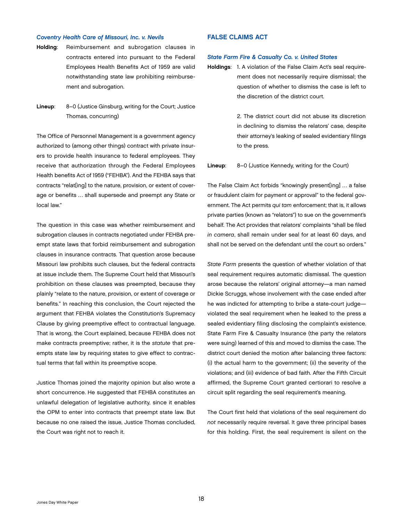#### <span id="page-20-0"></span>*Coventry Health Care of Missouri, Inc. v. Nevils*

- Holding: Reimbursement and subrogation clauses in contracts entered into pursuant to the Federal Employees Health Benefits Act of 1959 are valid notwithstanding state law prohibiting reimbursement and subrogation.
- Lineup: 8–0 (Justice Ginsburg, writing for the Court; Justice Thomas, concurring)

The Office of Personnel Management is a government agency authorized to (among other things) contract with private insurers to provide health insurance to federal employees. They receive that authorization through the Federal Employees Health benefits Act of 1959 ("FEHBA"). And the FEHBA says that contracts "relat[ing] to the nature, provision, or extent of coverage or benefits … shall supersede and preempt any State or local law."

The question in this case was whether reimbursement and subrogation clauses in contracts negotiated under FEHBA preempt state laws that forbid reimbursement and subrogation clauses in insurance contracts. That question arose because Missouri law prohibits such clauses, but the federal contracts at issue include them. The Supreme Court held that Missouri's prohibition on these clauses was preempted, because they plainly "relate to the nature, provision, or extent of coverage or benefits." In reaching this conclusion, the Court rejected the argument that FEHBA violates the Constitution's Supremacy Clause by giving preemptive effect to contractual language. That is wrong, the Court explained, because FEHBA does not make contracts preemptive; rather, it is the *statute* that preempts state law by requiring states to give effect to contractual terms that fall within its preemptive scope.

Justice Thomas joined the majority opinion but also wrote a short concurrence. He suggested that FEHBA constitutes an unlawful delegation of legislative authority, since it enables the OPM to enter into contracts that preempt state law. But because no one raised the issue, Justice Thomas concluded, the Court was right not to reach it.

# FALSE CLAIMS ACT

#### *State Farm Fire & Casualty Co. v. United States*

Holdings: 1. A violation of the False Claim Act's seal requirement does not necessarily require dismissal; the question of whether to dismiss the case is left to the discretion of the district court.

> 2. The district court did not abuse its discretion in declining to dismiss the relators' case, despite their attorney's leaking of sealed evidentiary filings to the press.

Lineup: 8–0 (Justice Kennedy, writing for the Court)

The False Claim Act forbids "knowingly present[ing] … a false or fraudulent claim for payment or approval" to the federal government. The Act permits *qui tam* enforcement; that is, it allows private parties (known as "relators") to sue on the government's behalf. The Act provides that relators' complaints "shall be filed *in camera*, shall remain under seal for at least 60 days, and shall not be served on the defendant until the court so orders."

*State Farm* presents the question of whether violation of that seal requirement requires automatic dismissal. The question arose because the relators' original attorney—a man named Dickie Scruggs, whose involvement with the case ended after he was indicted for attempting to bribe a state-court judge violated the seal requirement when he leaked to the press a sealed evidentiary filing disclosing the complaint's existence. State Farm Fire & Casualty Insurance (the party the relators were suing) learned of this and moved to dismiss the case. The district court denied the motion after balancing three factors: (i) the actual harm to the government; (ii) the severity of the violations; and (iii) evidence of bad faith. After the Fifth Circuit affirmed, the Supreme Court granted certiorari to resolve a circuit split regarding the seal requirement's meaning.

The Court first held that violations of the seal requirement do *not* necessarily require reversal. It gave three principal bases for this holding. First, the seal requirement is silent on the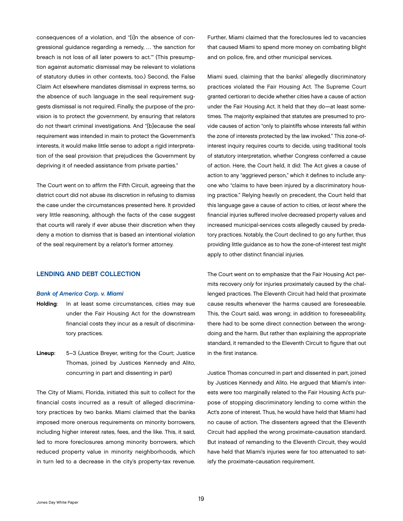<span id="page-21-0"></span>consequences of a violation, and "[i]n the absence of congressional guidance regarding a remedy, … 'the sanction for breach is not loss of all later powers to act.'" (This presumption against automatic dismissal may be relevant to violations of statutory duties in other contexts, too.) Second, the False Claim Act elsewhere mandates dismissal in express terms, so the absence of such language in the seal requirement suggests dismissal is not required. Finally, the purpose of the provision is to protect *the government*, by ensuring that relators do not thwart criminal investigations. And "[b]ecause the seal requirement was intended in main to protect the Government's interests, it would make little sense to adopt a rigid interpretation of the seal provision that prejudices the Government by depriving it of needed assistance from private parties."

The Court went on to affirm the Fifth Circuit, agreeing that the district court did not abuse its discretion in refusing to dismiss the case under the circumstances presented here. It provided very little reasoning, although the facts of the case suggest that courts will rarely if ever abuse their discretion when they deny a motion to dismiss that is based an intentional violation of the seal requirement by a relator's former attorney.

# LENDING AND DEBT COLLECTION

#### *Bank of America Corp. v. Miami*

- Holding: In at least some circumstances, cities may sue under the Fair Housing Act for the downstream financial costs they incur as a result of discriminatory practices.
- Lineup: 5–3 (Justice Breyer, writing for the Court; Justice Thomas, joined by Justices Kennedy and Alito, concurring in part and dissenting in part)

The City of Miami, Florida, initiated this suit to collect for the financial costs incurred as a result of alleged discriminatory practices by two banks. Miami claimed that the banks imposed more onerous requirements on minority borrowers, including higher interest rates, fees, and the like. This, it said, led to more foreclosures among minority borrowers, which reduced property value in minority neighborhoods, which in turn led to a decrease in the city's property-tax revenue.

Further, Miami claimed that the foreclosures led to vacancies that caused Miami to spend more money on combating blight and on police, fire, and other municipal services.

Miami sued, claiming that the banks' allegedly discriminatory practices violated the Fair Housing Act. The Supreme Court granted certiorari to decide whether cities have a cause of action under the Fair Housing Act. It held that they do—at least sometimes. The majority explained that statutes are presumed to provide causes of action "only to plaintiffs whose interests fall within the zone of interests protected by the law invoked." This zone-ofinterest inquiry requires courts to decide, using traditional tools of statutory interpretation, whether Congress conferred a cause of action. Here, the Court held, it did: The Act gives a cause of action to any "aggrieved person," which it defines to include anyone who "claims to have been injured by a discriminatory housing practice." Relying heavily on precedent, the Court held that this language gave a cause of action to cities, *at least* where the financial injuries suffered involve decreased property values and increased municipal-services costs allegedly caused by predatory practices. Notably, the Court declined to go any further, thus providing little guidance as to how the zone-of-interest test might apply to other distinct financial injuries.

The Court went on to emphasize that the Fair Housing Act permits recovery *only* for injuries proximately caused by the challenged practices. The Eleventh Circuit had held that proximate cause results whenever the harms caused are foreseeable. This, the Court said, was wrong; in addition to foreseeability, there had to be some direct connection between the wrongdoing and the harm. But rather than explaining the appropriate standard, it remanded to the Eleventh Circuit to figure that out in the first instance.

Justice Thomas concurred in part and dissented in part, joined by Justices Kennedy and Alito. He argued that Miami's interests were too marginally related to the Fair Housing Act's purpose of stopping discriminatory lending to come within the Act's zone of interest. Thus, he would have held that Miami had no cause of action. The dissenters agreed that the Eleventh Circuit had applied the wrong proximate-causation standard. But instead of remanding to the Eleventh Circuit, they would have held that Miami's injuries were far too attenuated to satisfy the proximate-causation requirement.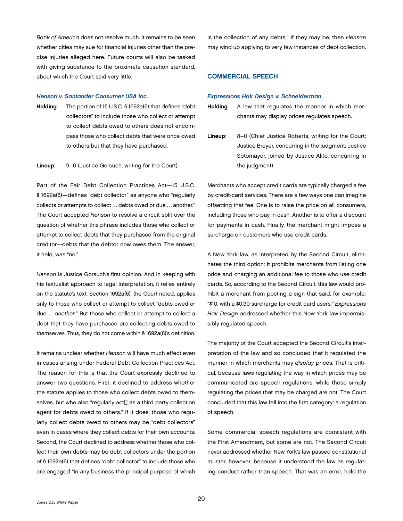<span id="page-22-0"></span>*Bank of America* does not resolve much. It remains to be seen whether cities may sue for financial injuries other than the precise injuries alleged here. Future courts will also be tasked with giving substance to the proximate causation standard, about which the Court said very little.

#### *Henson v. Santander Consumer USA Inc.*

Holding: The portion of 15 U.S.C. § 1692a(6) that defines "debt collectors" to include those who collect or attempt to collect debts owed to others does not encompass those who collect debts that were once owed to others but that they have purchased.

#### Lineup: 9–0 (Justice Gorsuch, writing for the Court)

Part of the Fair Debt Collection Practices Act—15 U.S.C. § 1692a(6)—defines "debt collector" as anyone who "regularly collects or attempts to collect … debts owed or due … another." The Court accepted *Henson* to resolve a circuit split over the question of whether this phrase includes those who collect or attempt to collect debts that they purchased from the original creditor—debts that the debtor now owes them. The answer, it held, was "no."

*Henson* is Justice Gorsuch's first opinion. And in keeping with his textualist approach to legal interpretation, it relies entirely on the statute's text. Section 1692a(6), the Court noted, applies only to those who collect or attempt to collect "debts owed or due … *another*." But those who collect or attempt to collect a debt that they have purchased are collecting debts owed to *themselves*. Thus, they do not come within § 1692a(6)'s definition.

It remains unclear whether *Henson* will have much effect even in cases arising under Federal Debt Collection Practices Act. The reason for this is that the Court expressly declined to answer two questions. First, it declined to address whether the statute applies to those who collect debts owed to themselves, but who also "regularly act[] as a third party collection agent for debts owed to others." If it does, those who regularly collect debts owed to others may be "debt collectors" even in cases where they collect debts for their own accounts. Second, the Court declined to address whether those who collect their own debts may be debt collectors under the portion of § 1692a(6) that defines "debt collector" to include those who are engaged "in any business the principal purpose of which

is the collection of any debts." If they may be, then *Henson*  may wind up applying to very few instances of debt collection.

# COMMERCIAL SPEECH

#### *Expressions Hair Design v. Schneiderman*

- Holding: A law that regulates the manner in which merchants may display prices regulates speech.
- Lineup: 8–0 (Chief Justice Roberts, writing for the Court; Justice Breyer, concurring in the judgment; Justice Sotomayor, joined by Justice Alito, concurring in the judgment)

Merchants who accept credit cards are typically charged a fee by credit-card services. There are a few ways one can imagine offsetting that fee. One is to raise the price on all consumers, including those who pay in cash. Another is to offer a discount for payments in cash. Finally, the merchant might impose a surcharge on customers who use credit cards.

A New York law, as interpreted by the Second Circuit, eliminates the third option: It prohibits merchants from listing one price and charging an additional fee to those who use credit cards. So, according to the Second Circuit, this law would prohibit a merchant from posting a sign that said, for example: "\$10, with a \$0.30 surcharge for credit card users." *Expressions Hair Design* addressed whether this New York law impermissibly regulated speech.

The majority of the Court accepted the Second Circuit's interpretation of the law and so concluded that it regulated the manner in which merchants may *display* prices. That is critical, because laws regulating the way in which prices may be communicated *are* speech regulations, while those simply regulating the prices that may be charged are not. The Court concluded that this law fell into the first category: a regulation of speech.

Some commercial speech regulations are consistent with the First Amendment, but some are not. The Second Circuit never addressed whether New York's law passed constitutional muster, however, because it understood the law as regulating conduct rather than speech. That was an error, held the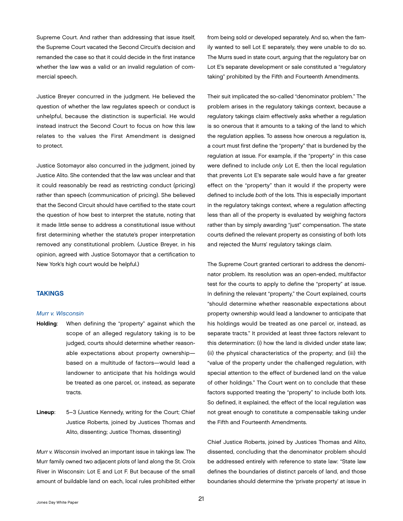<span id="page-23-0"></span>Supreme Court. And rather than addressing that issue itself, the Supreme Court vacated the Second Circuit's decision and remanded the case so that it could decide in the first instance whether the law was a valid or an invalid regulation of commercial speech.

Justice Breyer concurred in the judgment. He believed the question of whether the law regulates speech or conduct is unhelpful, because the distinction is superficial. He would instead instruct the Second Court to focus on how this law relates to the values the First Amendment is designed to protect.

Justice Sotomayor also concurred in the judgment, joined by Justice Alito. She contended that the law was unclear and that it could reasonably be read as restricting conduct (pricing) rather than speech (communication of pricing). She believed that the Second Circuit should have certified to the state court the question of how best to interpret the statute, noting that it made little sense to address a constitutional issue without first determining whether the statute's proper interpretation removed any constitutional problem. (Justice Breyer, in his opinion, agreed with Justice Sotomayor that a certification to New York's high court would be helpful.)

# TAKINGS

#### *Murr v. Wisconsin*

- Holding: When defining the "property" against which the scope of an alleged regulatory taking is to be judged, courts should determine whether reasonable expectations about property ownership based on a multitude of factors—would lead a landowner to anticipate that his holdings would be treated as one parcel, or, instead, as separate tracts.
- Lineup: 5–3 (Justice Kennedy, writing for the Court; Chief Justice Roberts, joined by Justices Thomas and Alito, dissenting; Justice Thomas, dissenting)

*Murr v. Wisconsin* involved an important issue in takings law. The Murr family owned two adjacent plots of land along the St. Croix River in Wisconsin: Lot E and Lot F. But because of the small amount of buildable land on each, local rules prohibited either

from being sold or developed separately. And so, when the family wanted to sell Lot E separately, they were unable to do so. The Murrs sued in state court, arguing that the regulatory bar on Lot E's separate development or sale constituted a "regulatory taking" prohibited by the Fifth and Fourteenth Amendments.

Their suit implicated the so-called "denominator problem." The problem arises in the regulatory takings context, because a regulatory takings claim effectively asks whether a regulation is so onerous that it amounts to a taking of the land to which the regulation applies. To assess how onerous a regulation is, a court must first define the "property" that is burdened by the regulation at issue. For example, if the "property" in this case were defined to include *only* Lot E, then the local regulation that prevents Lot E's separate sale would have a far greater effect on the "property" than it would if the property were defined to include *both* of the lots. This is especially important in the regulatory takings context, where a regulation affecting less than all of the property is evaluated by weighing factors rather than by simply awarding "just" compensation. The state courts defined the relevant property as consisting of both lots and rejected the Murrs' regulatory takings claim.

The Supreme Court granted certiorari to address the denominator problem. Its resolution was an open-ended, multifactor test for the courts to apply to define the "property" at issue. In defining the relevant "property," the Court explained, courts "should determine whether reasonable expectations about property ownership would lead a landowner to anticipate that his holdings would be treated as one parcel or, instead, as separate tracts." It provided at least three factors relevant to this determination: (i) how the land is divided under state law; (ii) the physical characteristics of the property; and (iii) the "value of the property under the challenged regulation, with special attention to the effect of burdened land on the value of other holdings." The Court went on to conclude that these factors supported treating the "property" to include both lots. So defined, it explained, the effect of the local regulation was not great enough to constitute a compensable taking under the Fifth and Fourteenth Amendments.

Chief Justice Roberts, joined by Justices Thomas and Alito, dissented, concluding that the denominator problem should be addressed entirely with reference to state law: "State law defines the boundaries of distinct parcels of land, and those boundaries should determine the 'private property' at issue in